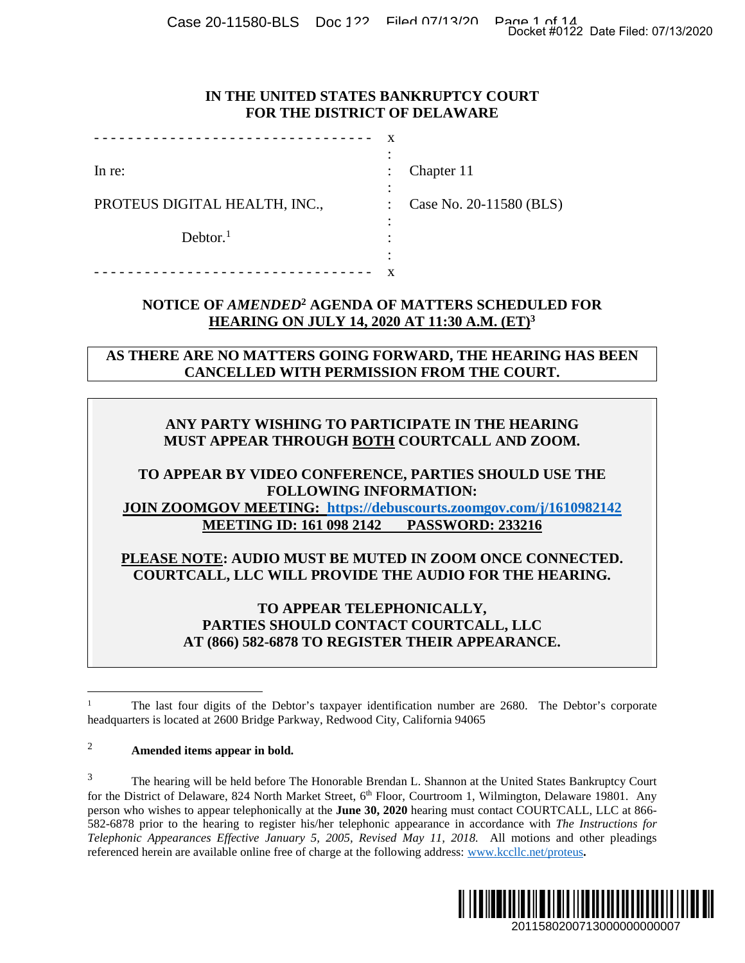Case 20-11580-BLS Doc 122 Filed 07/13/20 Page 1 of 14<br>Docket #0122 Date Filed: 07/13/2020

## **IN THE UNITED STATES BANKRUPTCY COURT FOR THE DISTRICT OF DELAWARE**

|                               | $\overline{\phantom{a}}$ |                         |
|-------------------------------|--------------------------|-------------------------|
| In re:                        | $\ddot{\cdot}$           | Chapter 11              |
|                               | ٠                        |                         |
| PROTEUS DIGITAL HEALTH, INC., |                          | Case No. 20-11580 (BLS) |
|                               |                          |                         |
| Dektor. <sup>1</sup>          |                          |                         |
|                               | ٠<br>٠                   |                         |
|                               |                          |                         |

# **NOTICE OF** *AMENDED***<sup>2</sup> AGENDA OF MATTERS SCHEDULED FOR HEARING ON JULY 14, 2020 AT 11:30 A.M. (ET)<sup>3</sup>**

**AS THERE ARE NO MATTERS GOING FORWARD, THE HEARING HAS BEEN CANCELLED WITH PERMISSION FROM THE COURT.** 

# **ANY PARTY WISHING TO PARTICIPATE IN THE HEARING MUST APPEAR THROUGH BOTH COURTCALL AND ZOOM.**

## **TO APPEAR BY VIDEO CONFERENCE, PARTIES SHOULD USE THE FOLLOWING INFORMATION: JOIN ZOOMGOV MEETING: https://debuscourts.zoomgov.com/j/1610982142 MEETING ID: 161 098 2142 PASSWORD: 233216**

**PLEASE NOTE: AUDIO MUST BE MUTED IN ZOOM ONCE CONNECTED. COURTCALL, LLC WILL PROVIDE THE AUDIO FOR THE HEARING.** 

> **TO APPEAR TELEPHONICALLY, PARTIES SHOULD CONTACT COURTCALL, LLC AT (866) 582-6878 TO REGISTER THEIR APPEARANCE.**

#### <sup>2</sup> **Amended items appear in bold.**

<sup>&</sup>lt;sup>3</sup> The hearing will be held before The Honorable Brendan L. Shannon at the United States Bankruptcy Court for the District of Delaware, 824 North Market Street, 6<sup>th</sup> Floor, Courtroom 1, Wilmington, Delaware 19801. Any person who wishes to appear telephonically at the **June 30, 2020** hearing must contact COURTCALL, LLC at 866- 582-6878 prior to the hearing to register his/her telephonic appearance in accordance with *The Instructions for Telephonic Appearances Effective January 5, 2005, Revised May 11, 2018.* All motions and other pleadings referenced herein are available online free of charge at the following address: www.kccllc.net/proteus**.**  Docket #0122 Date Filed: 07/13/2020<br>
2011<br>
2010 DED FOR<br>
2010 DED FOR<br>
2010 DED FOR<br>
2010 DED FOR<br>
2010 DED FOR<br>
2010 DED FOR<br>
2010 DED FOR<br>
2011<br>
2011 DED TORE THE<br>
2010 DED TED.<br>
2011 DED TED ARTING.<br>
2011 DED TORES CONN



<sup>1</sup> The last four digits of the Debtor's taxpayer identification number are 2680. The Debtor's corporate headquarters is located at 2600 Bridge Parkway, Redwood City, California 94065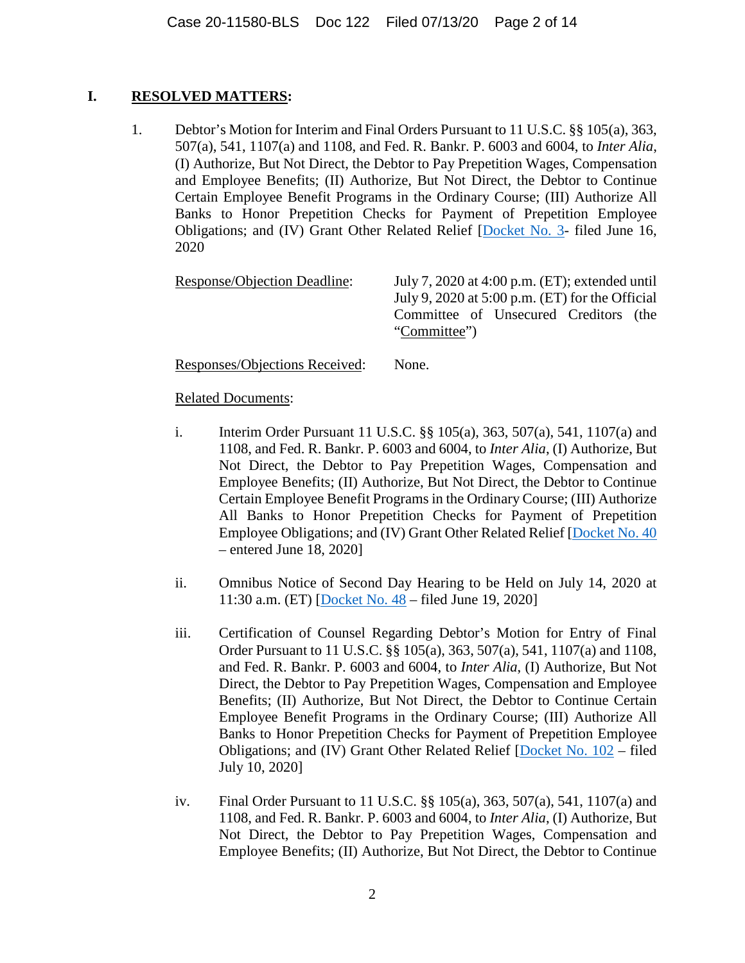## **I. RESOLVED MATTERS:**

1. Debtor's Motion for Interim and Final Orders Pursuant to 11 U.S.C. §§ 105(a), 363, 507(a), 541, 1107(a) and 1108, and Fed. R. Bankr. P. 6003 and 6004, to *Inter Alia*, (I) Authorize, But Not Direct, the Debtor to Pay Prepetition Wages, Compensation and Employee Benefits; (II) Authorize, But Not Direct, the Debtor to Continue Certain Employee Benefit Programs in the Ordinary Course; (III) Authorize All Banks to Honor Prepetition Checks for Payment of Prepetition Employee Obligations; and (IV) Grant Other Related Relief [Docket No. 3- filed June 16, 2020

Response/Objection Deadline: July 7, 2020 at 4:00 p.m. (ET); extended until July 9, 2020 at 5:00 p.m. (ET) for the Official Committee of Unsecured Creditors (the "Committee")

Responses/Objections Received: None.

- i. Interim Order Pursuant 11 U.S.C. §§ 105(a), 363, 507(a), 541, 1107(a) and 1108, and Fed. R. Bankr. P. 6003 and 6004, to *Inter Alia*, (I) Authorize, But Not Direct, the Debtor to Pay Prepetition Wages, Compensation and Employee Benefits; (II) Authorize, But Not Direct, the Debtor to Continue Certain Employee Benefit Programs in the Ordinary Course; (III) Authorize All Banks to Honor Prepetition Checks for Payment of Prepetition Employee Obligations; and (IV) Grant Other Related Relief [Docket No. 40 – entered June 18, 2020]
- ii. Omnibus Notice of Second Day Hearing to be Held on July 14, 2020 at 11:30 a.m. (ET) [Docket No. 48 – filed June 19, 2020]
- iii. Certification of Counsel Regarding Debtor's Motion for Entry of Final Order Pursuant to 11 U.S.C. §§ 105(a), 363, 507(a), 541, 1107(a) and 1108, and Fed. R. Bankr. P. 6003 and 6004, to *Inter Alia*, (I) Authorize, But Not Direct, the Debtor to Pay Prepetition Wages, Compensation and Employee Benefits; (II) Authorize, But Not Direct, the Debtor to Continue Certain Employee Benefit Programs in the Ordinary Course; (III) Authorize All Banks to Honor Prepetition Checks for Payment of Prepetition Employee Obligations; and (IV) Grant Other Related Relief [Docket No. 102 – filed July 10, 2020]
- iv. Final Order Pursuant to 11 U.S.C. §§ 105(a), 363, 507(a), 541, 1107(a) and 1108, and Fed. R. Bankr. P. 6003 and 6004, to *Inter Alia*, (I) Authorize, But Not Direct, the Debtor to Pay Prepetition Wages, Compensation and Employee Benefits; (II) Authorize, But Not Direct, the Debtor to Continue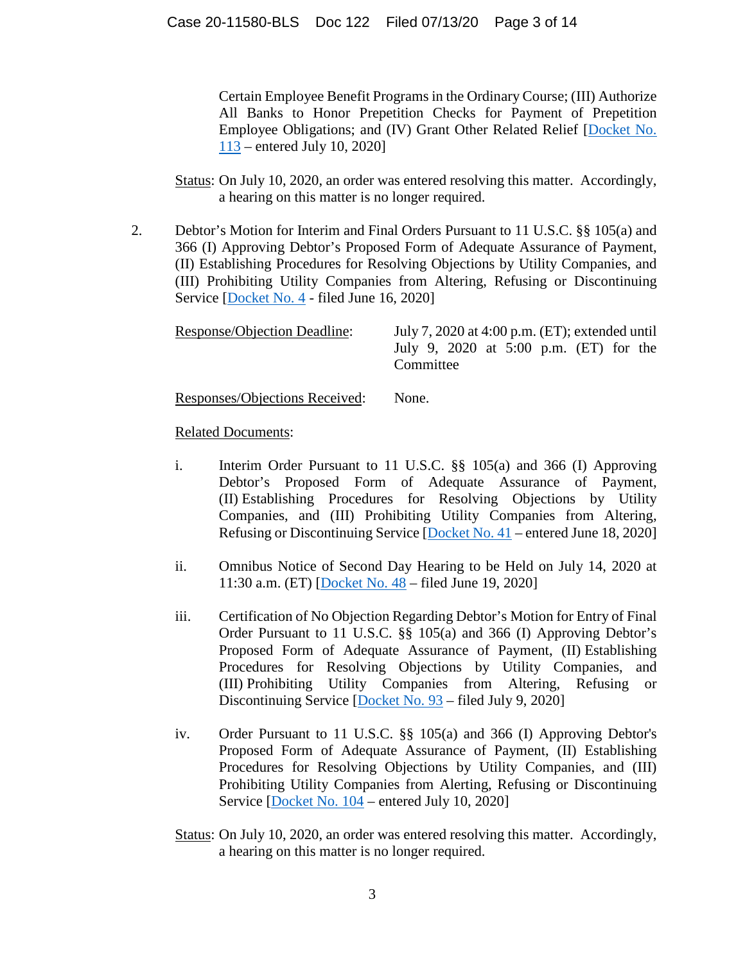Certain Employee Benefit Programs in the Ordinary Course; (III) Authorize All Banks to Honor Prepetition Checks for Payment of Prepetition Employee Obligations; and (IV) Grant Other Related Relief [Docket No. 113 – entered July 10, 2020]

Status: On July 10, 2020, an order was entered resolving this matter. Accordingly, a hearing on this matter is no longer required.

2. Debtor's Motion for Interim and Final Orders Pursuant to 11 U.S.C. §§ 105(a) and 366 (I) Approving Debtor's Proposed Form of Adequate Assurance of Payment, (II) Establishing Procedures for Resolving Objections by Utility Companies, and (III) Prohibiting Utility Companies from Altering, Refusing or Discontinuing Service [Docket No. 4 - filed June 16, 2020]

| Response/Objection Deadline: |           |  |  | July 7, 2020 at 4:00 p.m. $(ET)$ ; extended until |  |
|------------------------------|-----------|--|--|---------------------------------------------------|--|
|                              | Committee |  |  | July 9, 2020 at 5:00 p.m. $(ET)$ for the          |  |
|                              |           |  |  |                                                   |  |

Responses/Objections Received: None.

- i. Interim Order Pursuant to 11 U.S.C. §§ 105(a) and 366 (I) Approving Debtor's Proposed Form of Adequate Assurance of Payment, (II) Establishing Procedures for Resolving Objections by Utility Companies, and (III) Prohibiting Utility Companies from Altering, Refusing or Discontinuing Service [Docket No. 41 – entered June 18, 2020]
- ii. Omnibus Notice of Second Day Hearing to be Held on July 14, 2020 at 11:30 a.m. (ET) [Docket No. 48 – filed June 19, 2020]
- iii. Certification of No Objection Regarding Debtor's Motion for Entry of Final Order Pursuant to 11 U.S.C. §§ 105(a) and 366 (I) Approving Debtor's Proposed Form of Adequate Assurance of Payment, (II) Establishing Procedures for Resolving Objections by Utility Companies, and (III) Prohibiting Utility Companies from Altering, Refusing or Discontinuing Service [Docket No. 93 – filed July 9, 2020]
- iv. Order Pursuant to 11 U.S.C. §§ 105(a) and 366 (I) Approving Debtor's Proposed Form of Adequate Assurance of Payment, (II) Establishing Procedures for Resolving Objections by Utility Companies, and (III) Prohibiting Utility Companies from Alerting, Refusing or Discontinuing Service [Docket No. 104 – entered July 10, 2020]
- Status: On July 10, 2020, an order was entered resolving this matter. Accordingly, a hearing on this matter is no longer required.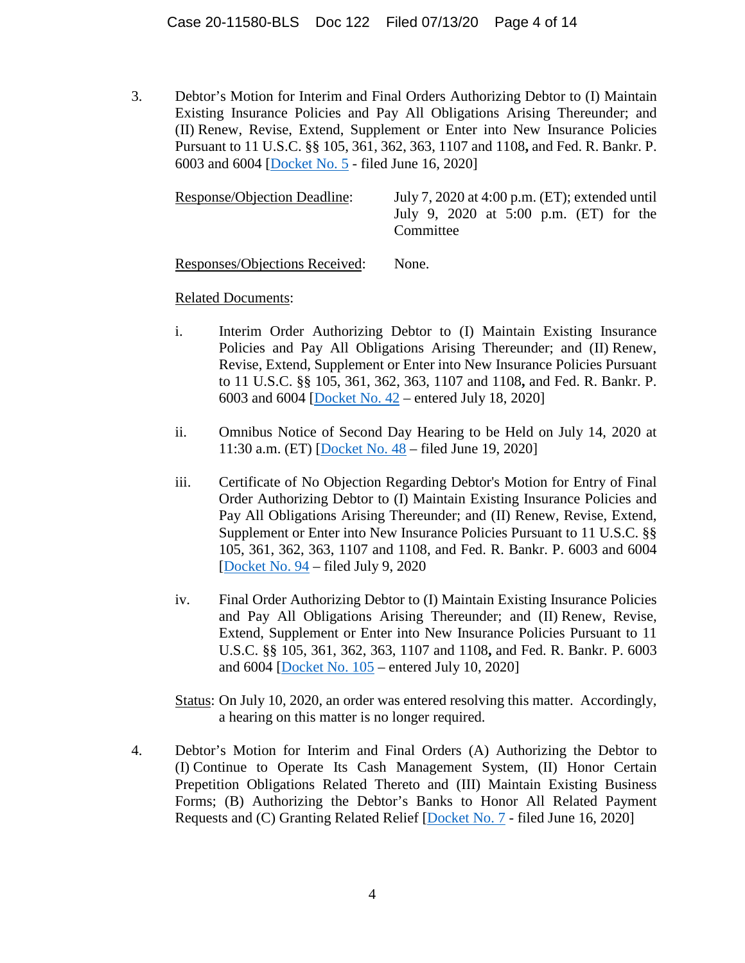3. Debtor's Motion for Interim and Final Orders Authorizing Debtor to (I) Maintain Existing Insurance Policies and Pay All Obligations Arising Thereunder; and (II) Renew, Revise, Extend, Supplement or Enter into New Insurance Policies Pursuant to 11 U.S.C. §§ 105, 361, 362, 363, 1107 and 1108**,** and Fed. R. Bankr. P. 6003 and 6004 [Docket No. 5 - filed June 16, 2020]

| <b>Response/Objection Deadline:</b> | July 7, 2020 at 4:00 p.m. $(ET)$ ; extended until     |  |  |  |  |
|-------------------------------------|-------------------------------------------------------|--|--|--|--|
|                                     | July 9, 2020 at 5:00 p.m. $(ET)$ for the<br>Committee |  |  |  |  |
|                                     |                                                       |  |  |  |  |

Responses/Objections Received: None.

Related Documents:

- i. Interim Order Authorizing Debtor to (I) Maintain Existing Insurance Policies and Pay All Obligations Arising Thereunder; and (II) Renew, Revise, Extend, Supplement or Enter into New Insurance Policies Pursuant to 11 U.S.C. §§ 105, 361, 362, 363, 1107 and 1108**,** and Fed. R. Bankr. P. 6003 and 6004 [Docket No. 42 – entered July 18, 2020]
- ii. Omnibus Notice of Second Day Hearing to be Held on July 14, 2020 at 11:30 a.m. (ET) [Docket No. 48 – filed June 19, 2020]
- iii. Certificate of No Objection Regarding Debtor's Motion for Entry of Final Order Authorizing Debtor to (I) Maintain Existing Insurance Policies and Pay All Obligations Arising Thereunder; and (II) Renew, Revise, Extend, Supplement or Enter into New Insurance Policies Pursuant to 11 U.S.C. §§ 105, 361, 362, 363, 1107 and 1108, and Fed. R. Bankr. P. 6003 and 6004 [Docket No. 94 – filed July 9, 2020
- iv. Final Order Authorizing Debtor to (I) Maintain Existing Insurance Policies and Pay All Obligations Arising Thereunder; and (II) Renew, Revise, Extend, Supplement or Enter into New Insurance Policies Pursuant to 11 U.S.C. §§ 105, 361, 362, 363, 1107 and 1108**,** and Fed. R. Bankr. P. 6003 and 6004 [Docket No. 105 – entered July 10, 2020]

Status: On July 10, 2020, an order was entered resolving this matter. Accordingly, a hearing on this matter is no longer required.

4. Debtor's Motion for Interim and Final Orders (A) Authorizing the Debtor to (I) Continue to Operate Its Cash Management System, (II) Honor Certain Prepetition Obligations Related Thereto and (III) Maintain Existing Business Forms; (B) Authorizing the Debtor's Banks to Honor All Related Payment Requests and (C) Granting Related Relief [Docket No. 7 - filed June 16, 2020]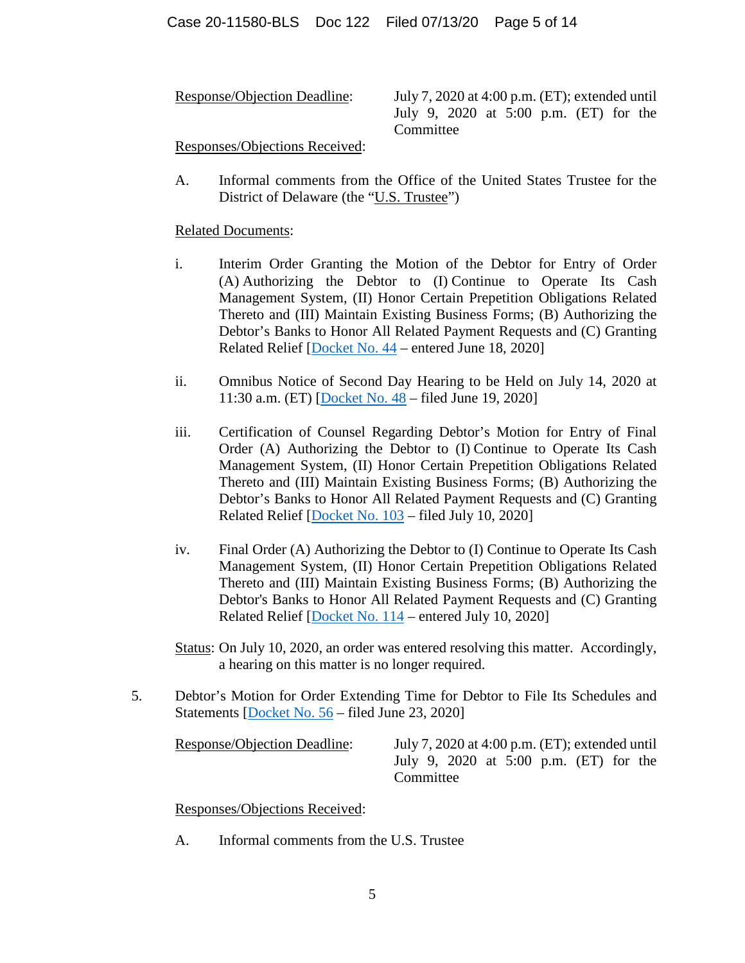Response/Objection Deadline: July 7, 2020 at 4:00 p.m. (ET); extended until July 9, 2020 at 5:00 p.m. (ET) for the Committee

Responses/Objections Received:

A. Informal comments from the Office of the United States Trustee for the District of Delaware (the "U.S. Trustee")

Related Documents:

- i. Interim Order Granting the Motion of the Debtor for Entry of Order (A) Authorizing the Debtor to (I) Continue to Operate Its Cash Management System, (II) Honor Certain Prepetition Obligations Related Thereto and (III) Maintain Existing Business Forms; (B) Authorizing the Debtor's Banks to Honor All Related Payment Requests and (C) Granting Related Relief [Docket No. 44 – entered June 18, 2020]
- ii. Omnibus Notice of Second Day Hearing to be Held on July 14, 2020 at 11:30 a.m. (ET) [Docket No. 48 – filed June 19, 2020]
- iii. Certification of Counsel Regarding Debtor's Motion for Entry of Final Order (A) Authorizing the Debtor to (I) Continue to Operate Its Cash Management System, (II) Honor Certain Prepetition Obligations Related Thereto and (III) Maintain Existing Business Forms; (B) Authorizing the Debtor's Banks to Honor All Related Payment Requests and (C) Granting Related Relief [Docket No. 103 – filed July 10, 2020]
- iv. Final Order (A) Authorizing the Debtor to (I) Continue to Operate Its Cash Management System, (II) Honor Certain Prepetition Obligations Related Thereto and (III) Maintain Existing Business Forms; (B) Authorizing the Debtor's Banks to Honor All Related Payment Requests and (C) Granting Related Relief [Docket No. 114 – entered July 10, 2020]

Status: On July 10, 2020, an order was entered resolving this matter. Accordingly, a hearing on this matter is no longer required.

5. Debtor's Motion for Order Extending Time for Debtor to File Its Schedules and Statements [Docket No. 56 – filed June 23, 2020]

Response/Objection Deadline: July 7, 2020 at 4:00 p.m. (ET); extended until July 9, 2020 at 5:00 p.m. (ET) for the **Committee** 

Responses/Objections Received:

A. Informal comments from the U.S. Trustee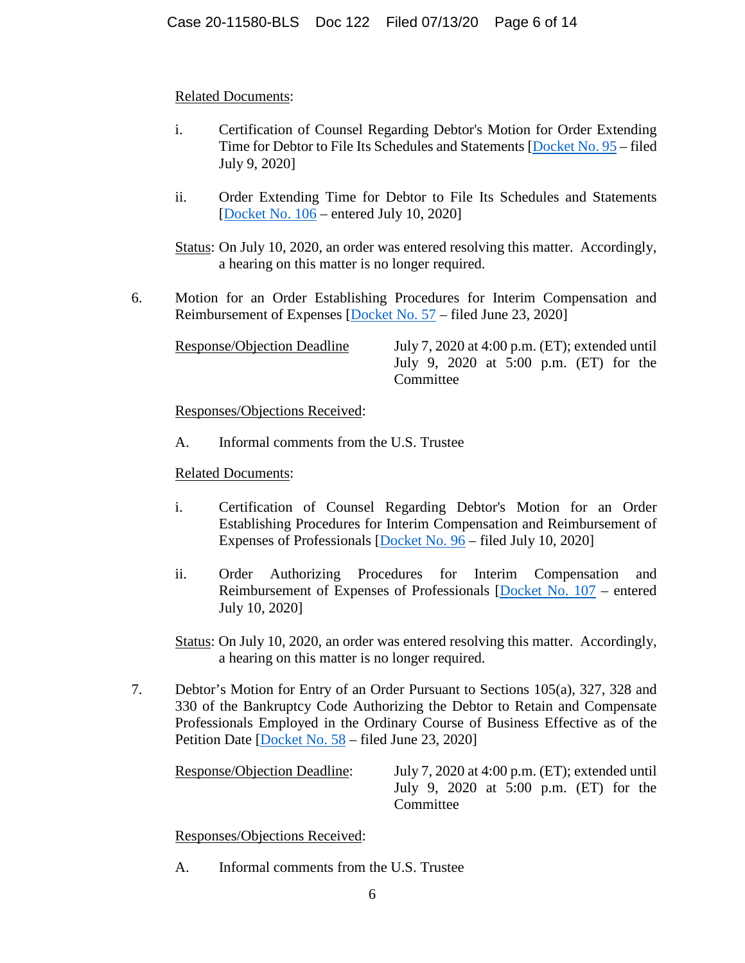# Related Documents:

- i. Certification of Counsel Regarding Debtor's Motion for Order Extending Time for Debtor to File Its Schedules and Statements [Docket No. 95 – filed July 9, 2020]
- ii. Order Extending Time for Debtor to File Its Schedules and Statements [Docket No. 106 – entered July 10, 2020]

Status: On July 10, 2020, an order was entered resolving this matter. Accordingly, a hearing on this matter is no longer required.

6. Motion for an Order Establishing Procedures for Interim Compensation and Reimbursement of Expenses [Docket No. 57 – filed June 23, 2020]

Response/Objection Deadline July 7, 2020 at 4:00 p.m. (ET); extended until

July 9, 2020 at 5:00 p.m. (ET) for the **Committee** 

Responses/Objections Received:

A. Informal comments from the U.S. Trustee

# Related Documents:

- i. Certification of Counsel Regarding Debtor's Motion for an Order Establishing Procedures for Interim Compensation and Reimbursement of Expenses of Professionals [Docket No. 96 – filed July 10, 2020]
- ii. Order Authorizing Procedures for Interim Compensation and Reimbursement of Expenses of Professionals [Docket No. 107 – entered July 10, 2020]

Status: On July 10, 2020, an order was entered resolving this matter. Accordingly, a hearing on this matter is no longer required.

7. Debtor's Motion for Entry of an Order Pursuant to Sections 105(a), 327, 328 and 330 of the Bankruptcy Code Authorizing the Debtor to Retain and Compensate Professionals Employed in the Ordinary Course of Business Effective as of the Petition Date [Docket No. 58 – filed June 23, 2020]

Response/Objection Deadline: July 7, 2020 at 4:00 p.m. (ET); extended until July 9, 2020 at 5:00 p.m. (ET) for the Committee

Responses/Objections Received:

A. Informal comments from the U.S. Trustee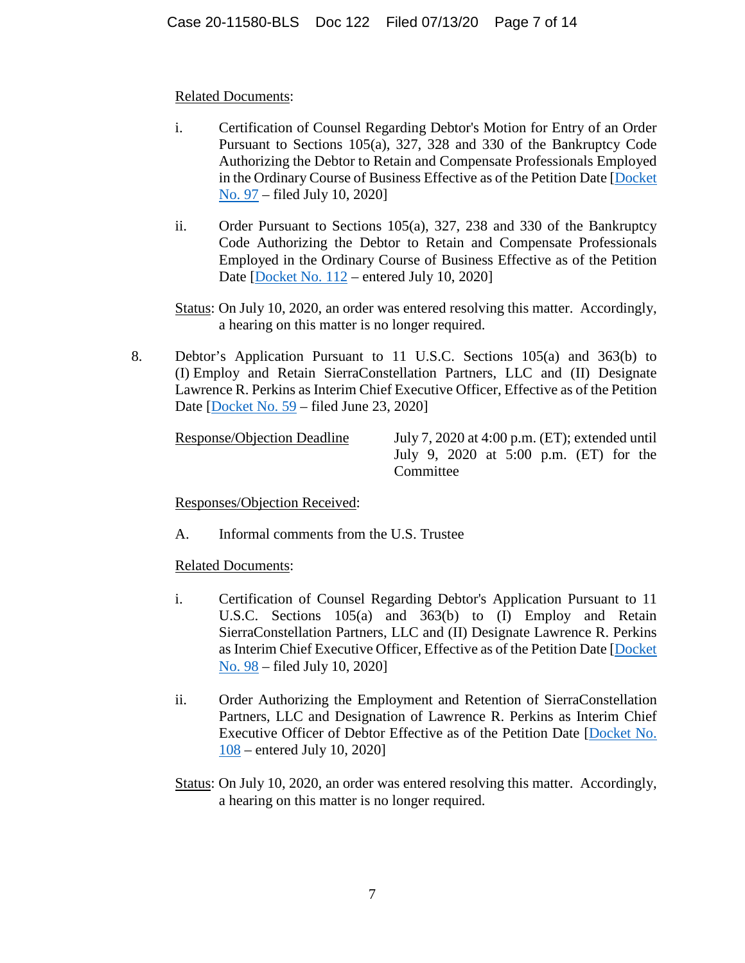## Related Documents:

- i. Certification of Counsel Regarding Debtor's Motion for Entry of an Order Pursuant to Sections 105(a), 327, 328 and 330 of the Bankruptcy Code Authorizing the Debtor to Retain and Compensate Professionals Employed in the Ordinary Course of Business Effective as of the Petition Date [Docket No. 97 – filed July 10, 2020]
- ii. Order Pursuant to Sections 105(a), 327, 238 and 330 of the Bankruptcy Code Authorizing the Debtor to Retain and Compensate Professionals Employed in the Ordinary Course of Business Effective as of the Petition Date [Docket No. 112 – entered July 10, 2020]
- Status: On July 10, 2020, an order was entered resolving this matter. Accordingly, a hearing on this matter is no longer required.
- 8. Debtor's Application Pursuant to 11 U.S.C. Sections 105(a) and 363(b) to (I) Employ and Retain SierraConstellation Partners, LLC and (II) Designate Lawrence R. Perkins as Interim Chief Executive Officer, Effective as of the Petition Date [Docket No. 59 – filed June 23, 2020]

Response/Objection Deadline July 7, 2020 at 4:00 p.m. (ET); extended until July 9, 2020 at 5:00 p.m. (ET) for the **Committee** 

Responses/Objection Received:

A. Informal comments from the U.S. Trustee

- i. Certification of Counsel Regarding Debtor's Application Pursuant to 11 U.S.C. Sections 105(a) and 363(b) to (I) Employ and Retain SierraConstellation Partners, LLC and (II) Designate Lawrence R. Perkins as Interim Chief Executive Officer, Effective as of the Petition Date [Docket No. 98 – filed July 10, 2020]
- ii. Order Authorizing the Employment and Retention of SierraConstellation Partners, LLC and Designation of Lawrence R. Perkins as Interim Chief Executive Officer of Debtor Effective as of the Petition Date [Docket No. 108 – entered July 10, 2020]
- Status: On July 10, 2020, an order was entered resolving this matter. Accordingly, a hearing on this matter is no longer required.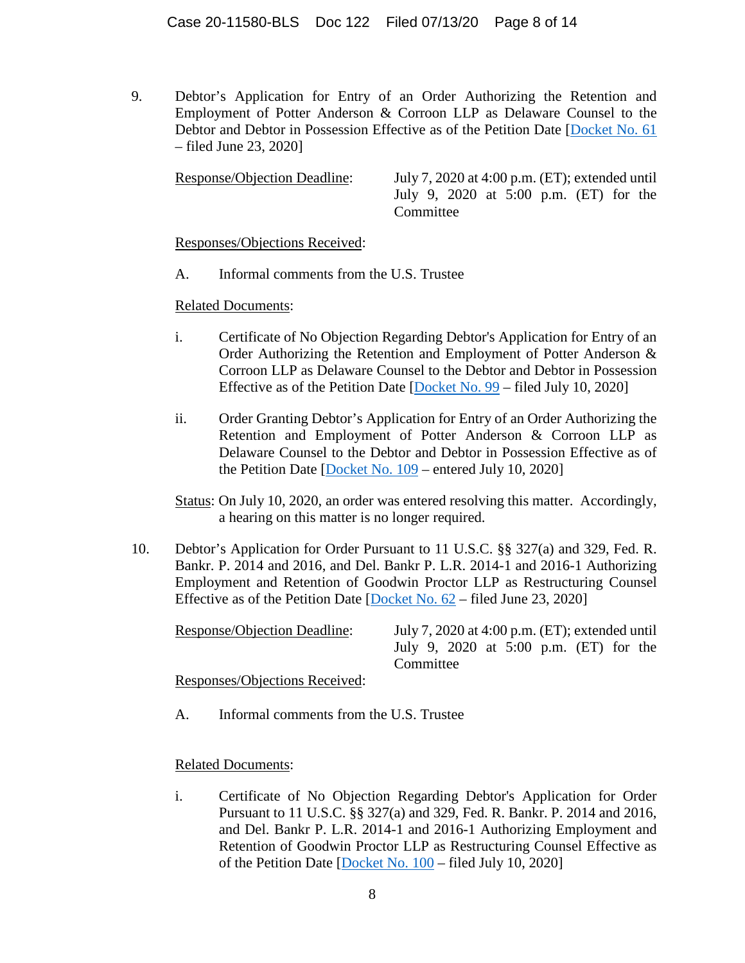9. Debtor's Application for Entry of an Order Authorizing the Retention and Employment of Potter Anderson & Corroon LLP as Delaware Counsel to the Debtor and Debtor in Possession Effective as of the Petition Date [Docket No. 61 – filed June 23, 2020]

Response/Objection Deadline: July 7, 2020 at 4:00 p.m. (ET); extended until July 9, 2020 at 5:00 p.m. (ET) for the Committee

Responses/Objections Received:

A. Informal comments from the U.S. Trustee

## Related Documents:

- i. Certificate of No Objection Regarding Debtor's Application for Entry of an Order Authorizing the Retention and Employment of Potter Anderson & Corroon LLP as Delaware Counsel to the Debtor and Debtor in Possession Effective as of the Petition Date  $[Docken No. 99 - filed July 10, 2020]$
- ii. Order Granting Debtor's Application for Entry of an Order Authorizing the Retention and Employment of Potter Anderson & Corroon LLP as Delaware Counsel to the Debtor and Debtor in Possession Effective as of the Petition Date [Docket No. 109 – entered July 10, 2020]

Status: On July 10, 2020, an order was entered resolving this matter. Accordingly, a hearing on this matter is no longer required.

10. Debtor's Application for Order Pursuant to 11 U.S.C. §§ 327(a) and 329, Fed. R. Bankr. P. 2014 and 2016, and Del. Bankr P. L.R. 2014-1 and 2016-1 Authorizing Employment and Retention of Goodwin Proctor LLP as Restructuring Counsel Effective as of the Petition Date  $[Dockent No. 62 - filed June 23, 2020]$ 

Response/Objection Deadline: July 7, 2020 at 4:00 p.m. (ET); extended until July 9, 2020 at 5:00 p.m. (ET) for the **Committee** Responses/Objections Received:

A. Informal comments from the U.S. Trustee

## Related Documents:

i. Certificate of No Objection Regarding Debtor's Application for Order Pursuant to 11 U.S.C. §§ 327(a) and 329, Fed. R. Bankr. P. 2014 and 2016, and Del. Bankr P. L.R. 2014-1 and 2016-1 Authorizing Employment and Retention of Goodwin Proctor LLP as Restructuring Counsel Effective as of the Petition Date [Docket No. 100 – filed July 10, 2020]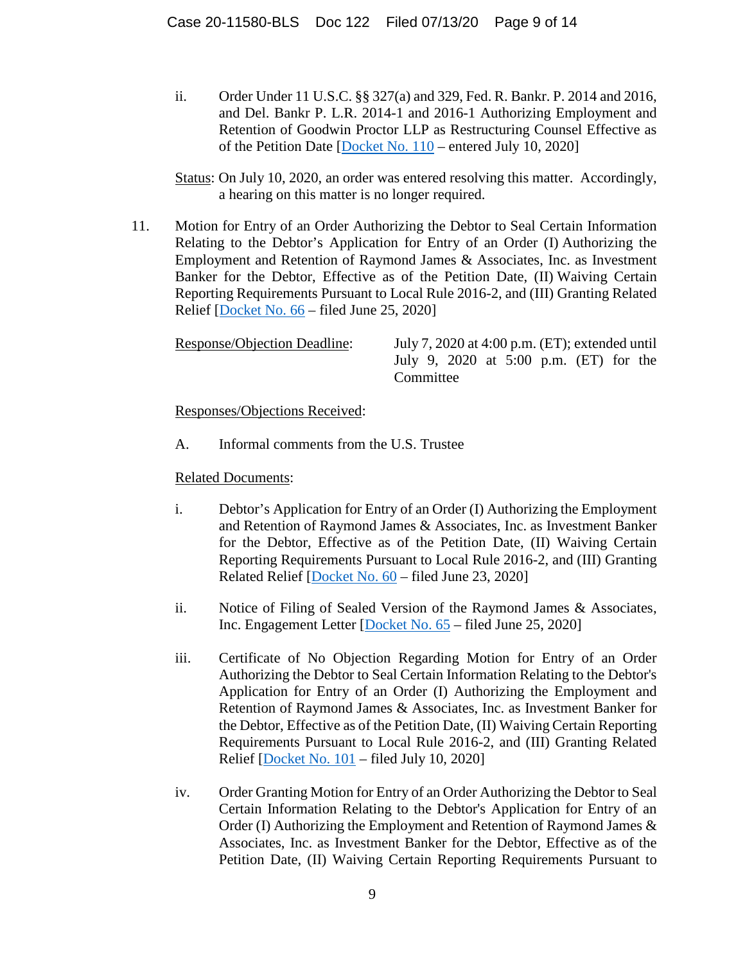ii. Order Under 11 U.S.C. §§ 327(a) and 329, Fed. R. Bankr. P. 2014 and 2016, and Del. Bankr P. L.R. 2014-1 and 2016-1 Authorizing Employment and Retention of Goodwin Proctor LLP as Restructuring Counsel Effective as of the Petition Date [Docket No. 110 – entered July 10, 2020]

Status: On July 10, 2020, an order was entered resolving this matter. Accordingly, a hearing on this matter is no longer required.

11. Motion for Entry of an Order Authorizing the Debtor to Seal Certain Information Relating to the Debtor's Application for Entry of an Order (I) Authorizing the Employment and Retention of Raymond James & Associates, Inc. as Investment Banker for the Debtor, Effective as of the Petition Date, (II) Waiving Certain Reporting Requirements Pursuant to Local Rule 2016-2, and (III) Granting Related Relief [Docket No. 66 – filed June 25, 2020]

| Response/Objection Deadline: |           | July 7, 2020 at 4:00 p.m. $(ET)$ ; extended until |  |  |  |
|------------------------------|-----------|---------------------------------------------------|--|--|--|
|                              |           | July 9, 2020 at 5:00 p.m. $(ET)$ for the          |  |  |  |
|                              | Committee |                                                   |  |  |  |

Responses/Objections Received:

A. Informal comments from the U.S. Trustee

- i. Debtor's Application for Entry of an Order (I) Authorizing the Employment and Retention of Raymond James & Associates, Inc. as Investment Banker for the Debtor, Effective as of the Petition Date, (II) Waiving Certain Reporting Requirements Pursuant to Local Rule 2016-2, and (III) Granting Related Relief [Docket No. 60 – filed June 23, 2020]
- ii. Notice of Filing of Sealed Version of the Raymond James & Associates, Inc. Engagement Letter [Docket No. 65 – filed June 25, 2020]
- iii. Certificate of No Objection Regarding Motion for Entry of an Order Authorizing the Debtor to Seal Certain Information Relating to the Debtor's Application for Entry of an Order (I) Authorizing the Employment and Retention of Raymond James & Associates, Inc. as Investment Banker for the Debtor, Effective as of the Petition Date, (II) Waiving Certain Reporting Requirements Pursuant to Local Rule 2016-2, and (III) Granting Related Relief [Docket No. 101 – filed July 10, 2020]
- iv. Order Granting Motion for Entry of an Order Authorizing the Debtor to Seal Certain Information Relating to the Debtor's Application for Entry of an Order (I) Authorizing the Employment and Retention of Raymond James & Associates, Inc. as Investment Banker for the Debtor, Effective as of the Petition Date, (II) Waiving Certain Reporting Requirements Pursuant to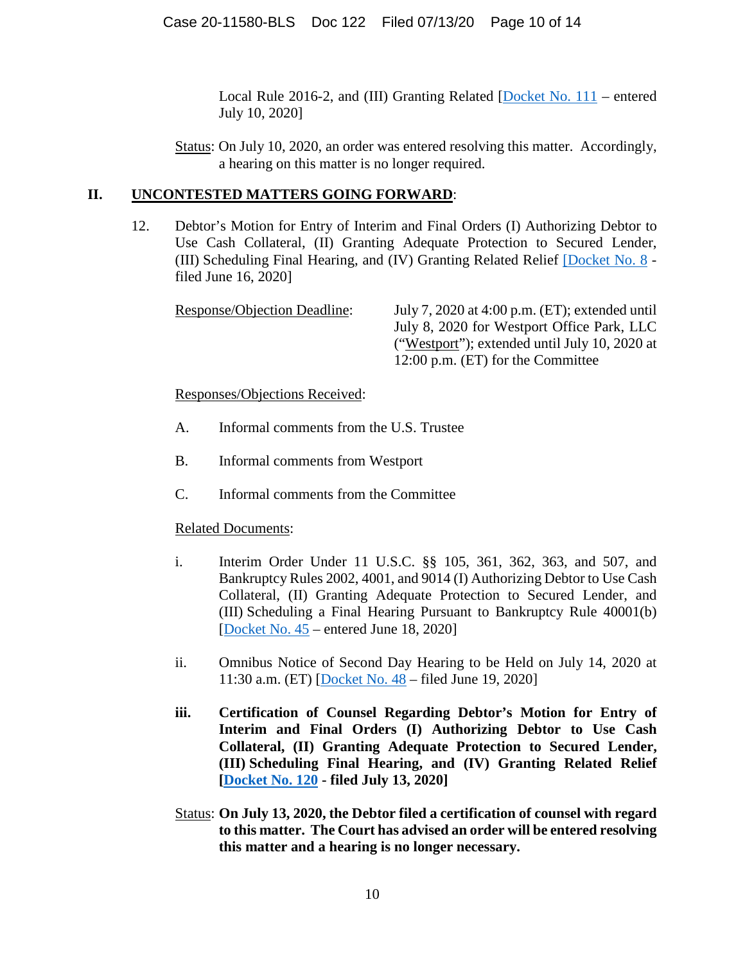Local Rule 2016-2, and (III) Granting Related [Docket No. 111 – entered July 10, 2020]

Status: On July 10, 2020, an order was entered resolving this matter. Accordingly, a hearing on this matter is no longer required.

## **II. UNCONTESTED MATTERS GOING FORWARD**:

12. Debtor's Motion for Entry of Interim and Final Orders (I) Authorizing Debtor to Use Cash Collateral, (II) Granting Adequate Protection to Secured Lender, (III) Scheduling Final Hearing, and (IV) Granting Related Relief [Docket No. 8 filed June 16, 2020]

| Response/Objection Deadline: | July 7, 2020 at 4:00 p.m. $(ET)$ ; extended until |
|------------------------------|---------------------------------------------------|
|                              | July 8, 2020 for Westport Office Park, LLC        |
|                              | ("Westport"); extended until July 10, 2020 at     |
|                              | 12:00 p.m. (ET) for the Committee                 |

Responses/Objections Received:

- A. Informal comments from the U.S. Trustee
- B. Informal comments from Westport
- C. Informal comments from the Committee

- i. Interim Order Under 11 U.S.C. §§ 105, 361, 362, 363, and 507, and Bankruptcy Rules 2002, 4001, and 9014 (I) Authorizing Debtor to Use Cash Collateral, (II) Granting Adequate Protection to Secured Lender, and (III) Scheduling a Final Hearing Pursuant to Bankruptcy Rule 40001(b) [Docket No. 45 – entered June 18, 2020]
- ii. Omnibus Notice of Second Day Hearing to be Held on July 14, 2020 at 11:30 a.m. (ET) [Docket No. 48 – filed June 19, 2020]
- **iii. Certification of Counsel Regarding Debtor's Motion for Entry of Interim and Final Orders (I) Authorizing Debtor to Use Cash Collateral, (II) Granting Adequate Protection to Secured Lender, (III) Scheduling Final Hearing, and (IV) Granting Related Relief [Docket No. 120 - filed July 13, 2020]**
- Status: **On July 13, 2020, the Debtor filed a certification of counsel with regard to this matter. The Court has advised an order will be entered resolving this matter and a hearing is no longer necessary.**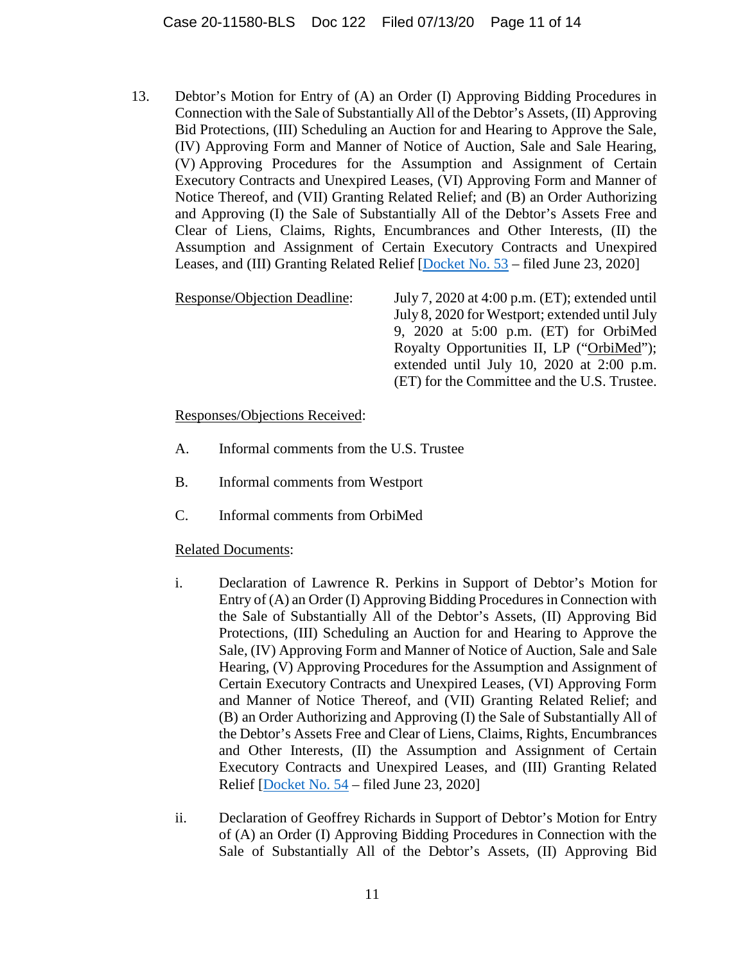13. Debtor's Motion for Entry of (A) an Order (I) Approving Bidding Procedures in Connection with the Sale of Substantially All of the Debtor's Assets, (II) Approving Bid Protections, (III) Scheduling an Auction for and Hearing to Approve the Sale, (IV) Approving Form and Manner of Notice of Auction, Sale and Sale Hearing, (V) Approving Procedures for the Assumption and Assignment of Certain Executory Contracts and Unexpired Leases, (VI) Approving Form and Manner of Notice Thereof, and (VII) Granting Related Relief; and (B) an Order Authorizing and Approving (I) the Sale of Substantially All of the Debtor's Assets Free and Clear of Liens, Claims, Rights, Encumbrances and Other Interests, (II) the Assumption and Assignment of Certain Executory Contracts and Unexpired Leases, and (III) Granting Related Relief [Docket No. 53 – filed June 23, 2020]

Response/Objection Deadline: July 7, 2020 at 4:00 p.m. (ET); extended until July 8, 2020 for Westport; extended until July 9, 2020 at 5:00 p.m. (ET) for OrbiMed Royalty Opportunities II, LP ("OrbiMed"); extended until July 10, 2020 at 2:00 p.m. (ET) for the Committee and the U.S. Trustee.

Responses/Objections Received:

- A. Informal comments from the U.S. Trustee
- B. Informal comments from Westport
- C. Informal comments from OrbiMed

- i. Declaration of Lawrence R. Perkins in Support of Debtor's Motion for Entry of (A) an Order (I) Approving Bidding Procedures in Connection with the Sale of Substantially All of the Debtor's Assets, (II) Approving Bid Protections, (III) Scheduling an Auction for and Hearing to Approve the Sale, (IV) Approving Form and Manner of Notice of Auction, Sale and Sale Hearing, (V) Approving Procedures for the Assumption and Assignment of Certain Executory Contracts and Unexpired Leases, (VI) Approving Form and Manner of Notice Thereof, and (VII) Granting Related Relief; and (B) an Order Authorizing and Approving (I) the Sale of Substantially All of the Debtor's Assets Free and Clear of Liens, Claims, Rights, Encumbrances and Other Interests, (II) the Assumption and Assignment of Certain Executory Contracts and Unexpired Leases, and (III) Granting Related Relief [Docket No. 54 – filed June 23, 2020]
- ii. Declaration of Geoffrey Richards in Support of Debtor's Motion for Entry of (A) an Order (I) Approving Bidding Procedures in Connection with the Sale of Substantially All of the Debtor's Assets, (II) Approving Bid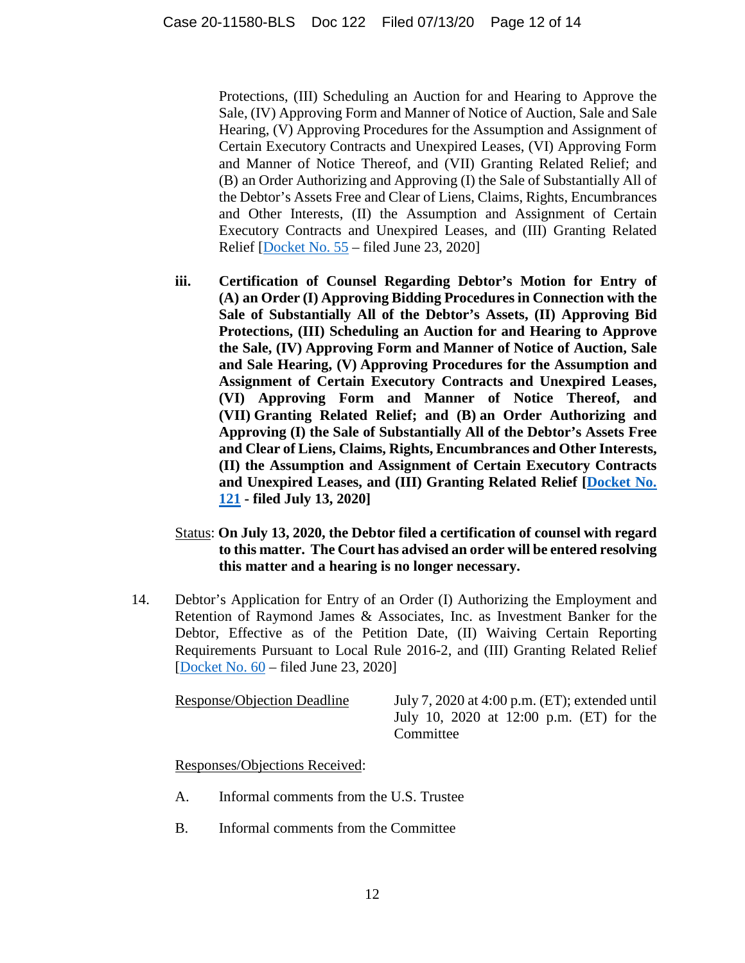Protections, (III) Scheduling an Auction for and Hearing to Approve the Sale, (IV) Approving Form and Manner of Notice of Auction, Sale and Sale Hearing, (V) Approving Procedures for the Assumption and Assignment of Certain Executory Contracts and Unexpired Leases, (VI) Approving Form and Manner of Notice Thereof, and (VII) Granting Related Relief; and (B) an Order Authorizing and Approving (I) the Sale of Substantially All of the Debtor's Assets Free and Clear of Liens, Claims, Rights, Encumbrances and Other Interests, (II) the Assumption and Assignment of Certain Executory Contracts and Unexpired Leases, and (III) Granting Related Relief [Docket No. 55 – filed June 23, 2020]

- **iii. Certification of Counsel Regarding Debtor's Motion for Entry of (A) an Order (I) Approving Bidding Procedures in Connection with the Sale of Substantially All of the Debtor's Assets, (II) Approving Bid Protections, (III) Scheduling an Auction for and Hearing to Approve the Sale, (IV) Approving Form and Manner of Notice of Auction, Sale and Sale Hearing, (V) Approving Procedures for the Assumption and Assignment of Certain Executory Contracts and Unexpired Leases, (VI) Approving Form and Manner of Notice Thereof, and (VII) Granting Related Relief; and (B) an Order Authorizing and Approving (I) the Sale of Substantially All of the Debtor's Assets Free and Clear of Liens, Claims, Rights, Encumbrances and Other Interests, (II) the Assumption and Assignment of Certain Executory Contracts and Unexpired Leases, and (III) Granting Related Relief [Docket No. 121 - filed July 13, 2020]**
- Status: **On July 13, 2020, the Debtor filed a certification of counsel with regard to this matter. The Court has advised an order will be entered resolving this matter and a hearing is no longer necessary.**
- 14. Debtor's Application for Entry of an Order (I) Authorizing the Employment and Retention of Raymond James & Associates, Inc. as Investment Banker for the Debtor, Effective as of the Petition Date, (II) Waiving Certain Reporting Requirements Pursuant to Local Rule 2016-2, and (III) Granting Related Relief [Docket No. 60 – filed June 23, 2020]

Response/Objection Deadline July 7, 2020 at 4:00 p.m. (ET); extended until July 10, 2020 at 12:00 p.m. (ET) for the Committee

Responses/Objections Received:

- A. Informal comments from the U.S. Trustee
- B. Informal comments from the Committee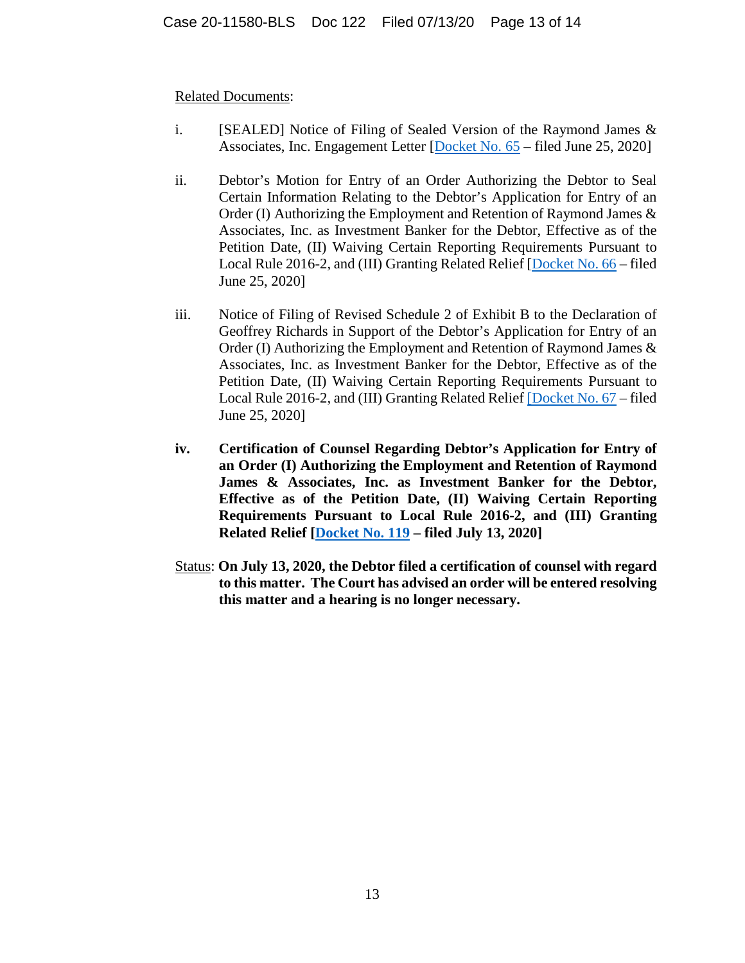- i. [SEALED] Notice of Filing of Sealed Version of the Raymond James & Associates, Inc. Engagement Letter [Docket No. 65 – filed June 25, 2020]
- ii. Debtor's Motion for Entry of an Order Authorizing the Debtor to Seal Certain Information Relating to the Debtor's Application for Entry of an Order (I) Authorizing the Employment and Retention of Raymond James & Associates, Inc. as Investment Banker for the Debtor, Effective as of the Petition Date, (II) Waiving Certain Reporting Requirements Pursuant to Local Rule 2016-2, and (III) Granting Related Relief [Docket No. 66 – filed June 25, 2020]
- iii. Notice of Filing of Revised Schedule 2 of Exhibit B to the Declaration of Geoffrey Richards in Support of the Debtor's Application for Entry of an Order (I) Authorizing the Employment and Retention of Raymond James & Associates, Inc. as Investment Banker for the Debtor, Effective as of the Petition Date, (II) Waiving Certain Reporting Requirements Pursuant to Local Rule 2016-2, and (III) Granting Related Relief [Docket No. 67 – filed June 25, 2020]
- **iv. Certification of Counsel Regarding Debtor's Application for Entry of an Order (I) Authorizing the Employment and Retention of Raymond James & Associates, Inc. as Investment Banker for the Debtor, Effective as of the Petition Date, (II) Waiving Certain Reporting Requirements Pursuant to Local Rule 2016-2, and (III) Granting Related Relief [Docket No. 119 – filed July 13, 2020]**
- Status: **On July 13, 2020, the Debtor filed a certification of counsel with regard to this matter. The Court has advised an order will be entered resolving this matter and a hearing is no longer necessary.**